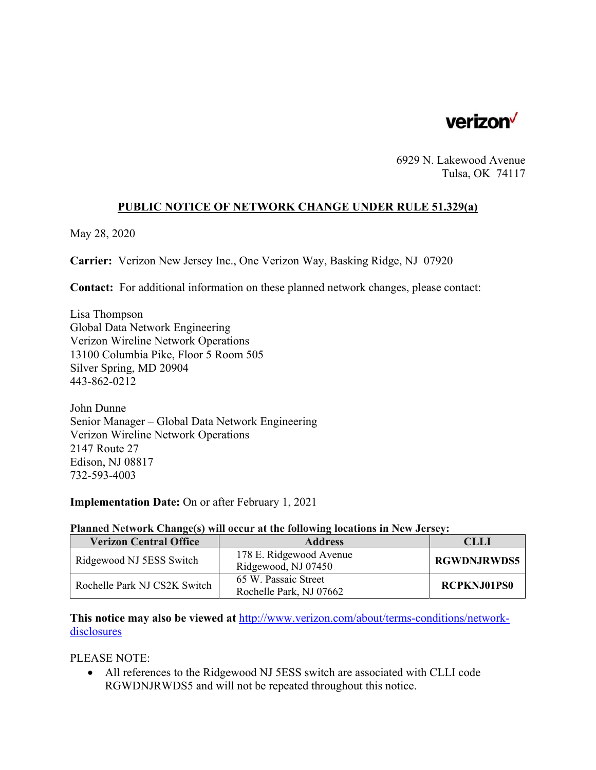

6929 N. Lakewood Avenue Tulsa, OK 74117

## **PUBLIC NOTICE OF NETWORK CHANGE UNDER RULE 51.329(a)**

May 28, 2020

**Carrier:** Verizon New Jersey Inc., One Verizon Way, Basking Ridge, NJ 07920

**Contact:** For additional information on these planned network changes, please contact:

Lisa Thompson Global Data Network Engineering Verizon Wireline Network Operations 13100 Columbia Pike, Floor 5 Room 505 Silver Spring, MD 20904 443-862-0212

John Dunne Senior Manager – Global Data Network Engineering Verizon Wireline Network Operations 2147 Route 27 Edison, NJ 08817 732-593-4003

**Implementation Date:** On or after February 1, 2021

## **Planned Network Change(s) will occur at the following locations in New Jersey:**

| <b>Verizon Central Office</b> | <b>Address</b>                                  | CLLI               |
|-------------------------------|-------------------------------------------------|--------------------|
| Ridgewood NJ 5ESS Switch      | 178 E. Ridgewood Avenue<br>Ridgewood, NJ 07450  | <b>RGWDNJRWDS5</b> |
| Rochelle Park NJ CS2K Switch  | 65 W. Passaic Street<br>Rochelle Park, NJ 07662 | <b>RCPKNJ01PS0</b> |

**This notice may also be viewed at** http://www.verizon.com/about/terms-conditions/networkdisclosures

PLEASE NOTE:

 All references to the Ridgewood NJ 5ESS switch are associated with CLLI code RGWDNJRWDS5 and will not be repeated throughout this notice.